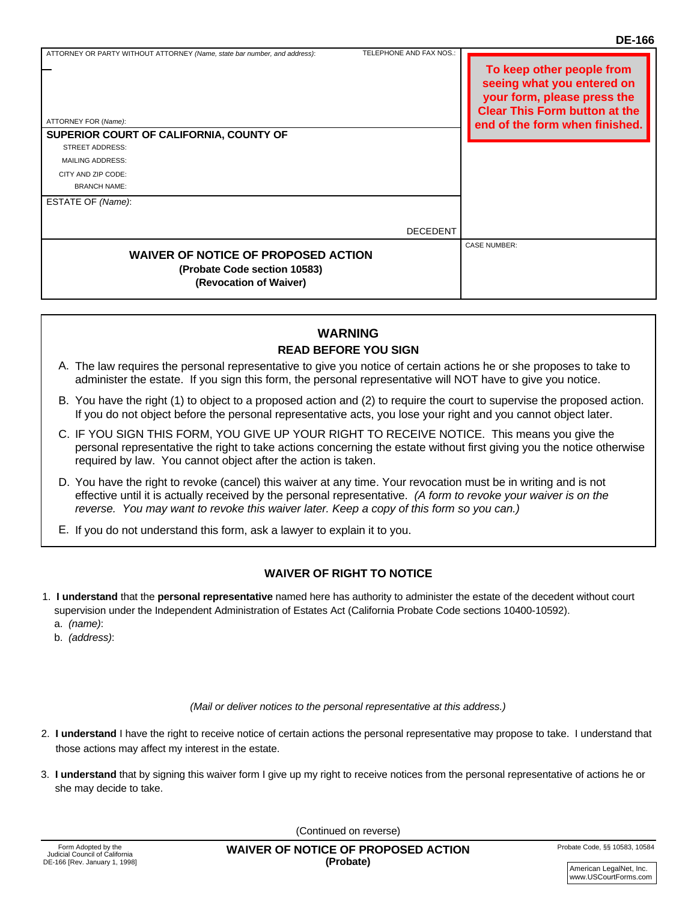CASE NUMBER:

## **WAIVER OF NOTICE OF PROPOSED ACTION (Probate Code section 10583) (Revocation of Waiver)** . . . . . . . . . . . . . . . . . . . . . . . . . . . . . . . . . . . . . . . . . . . . . . . . . . . . . .

THE PEOPLE OF THE STATE OF THE STATE OF NEW YORK

## **WARNING READ BEFORE YOU SIGN**

- A. The law requires the personal representative to give you notice of certain actions he or she proposes to take to administer the estate. If you sign this form, the personal representative will NOT have to give you notice.
- B. You have the right (1) to object to a proposed action and (2) to require the court to supervise the proposed action. If you do not object before the personal representative acts, you lose your right and you cannot object later.<br>If you do not object before the personal representative acts, you lose your right and you cannot object later. at about object before the personal representative acto, you lose your hy
- C. IF YOU SIGN THIS FORM, YOU GIVE UP YOUR RIGHT TO RECEIVE NOTICE. This means you give the personal representative the right to take actions concerning the estate without first giving you the notice otherwise required by law. You cannot object after the action is taken.
- D. You have the right to revoke (cancel) this waiver at any time. Your revocation must be in writing and is not effective until it is actually received by the personal representative. *(A form to revoke your waiver is on the reverse. You may want to revoke this waiver later. Keep a copy of this form so you can.)*  $\mathcal{L}_{\mathcal{A}}$  is substitute to comply with this subport and will make  $\mathcal{L}_{\mathcal{A}}$
- E. If you do not understand this form, ask a lawyer to explain it to you.

result of your failure to comply.

## WAIVER OF RIGHT TO NOTICE

- 1. I understand that the personal representative named here has authority to administer the estate of the decedent without court supervision under the Independent Administration of Estates Act (California Probate Code sections 10400-10592). a. *(name)*:
	- b. *(address)*:

*(Mail or deliver notices to the personal representative at this address.)*

- 2. **I understand** I have the right to receive notice of certain actions the personal representative may propose to take. I understand that those actions may affect my interest in the estate.
- 3. **I understand** that by signing this waiver form I give up my right to receive notices from the personal representative of actions he or she may decide to take.

(Continued on reverse) E-Mail Address: